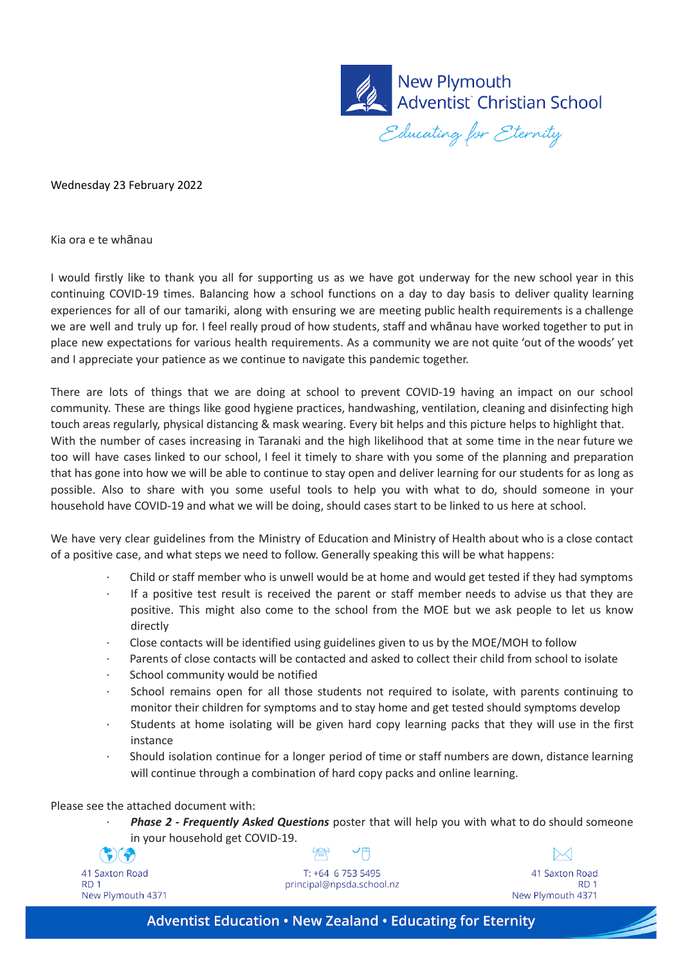

Wednesday 23 February 2022

Kia ora e te whānau

I would firstly like to thank you all for supporting us as we have got underway for the new school year in this continuing COVID-19 times. Balancing how a school functions on a day to day basis to deliver quality learning experiences for all of our tamariki, along with ensuring we are meeting public health requirements is a challenge we are well and truly up for. I feel really proud of how students, staff and whānau have worked together to put in place new expectations for various health requirements. As a community we are not quite 'out of the woods' yet and I appreciate your patience as we continue to navigate this pandemic together.

There are lots of things that we are doing at school to prevent COVID-19 having an impact on our school community. These are things like good hygiene practices, handwashing, ventilation, cleaning and disinfecting high touch areas regularly, physical distancing & mask wearing. Every bit helps and this picture helps to highlight that. With the number of cases increasing in Taranaki and the high likelihood that at some time in the near future we too will have cases linked to our school, I feel it timely to share with you some of the planning and preparation that has gone into how we will be able to continue to stay open and deliver learning for our students for as long as possible. Also to share with you some useful tools to help you with what to do, should someone in your household have COVID-19 and what we will be doing, should cases start to be linked to us here at school.

We have very clear guidelines from the Ministry of Education and Ministry of Health about who is a close contact of a positive case, and what steps we need to follow. Generally speaking this will be what happens:

- · Child or staff member who is unwell would be at home and would get tested if they had symptoms
- If a positive test result is received the parent or staff member needs to advise us that they are positive. This might also come to the school from the MOE but we ask people to let us know directly
- · Close contacts will be identified using guidelines given to us by the MOE/MOH to follow
- · Parents of close contacts will be contacted and asked to collect their child from school to isolate
- School community would be notified
- School remains open for all those students not required to isolate, with parents continuing to monitor their children for symptoms and to stay home and get tested should symptoms develop
- Students at home isolating will be given hard copy learning packs that they will use in the first instance
- Should isolation continue for a longer period of time or staff numbers are down, distance learning will continue through a combination of hard copy packs and online learning.

Please see the attached document with:

· *Phase 2 - Frequently Asked Questions* poster that will help you with what to do should someone in your household get COVID-19.

| ▼八▼刀              |
|-------------------|
| 41 Saxton Road    |
| RD 1              |
| New Plymouth 4371 |

T: +64 6 753 5495 principal@npsda.school.nz